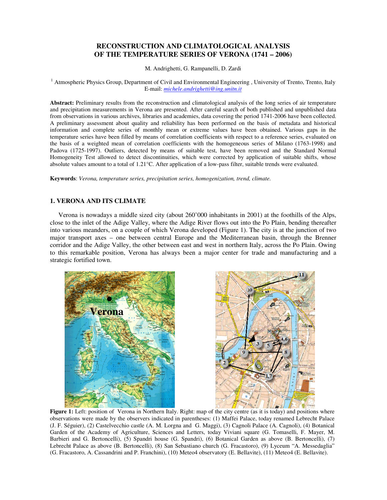# **RECONSTRUCTION AND CLIMATOLOGICAL ANALYSIS OF THE TEMPERATURE SERIES OF VERONA (1741 – 2006)**

M. Andrighetti, G. Rampanelli, D. Zardi

<sup>1</sup> Atmospheric Physics Group, Department of Civil and Environmental Engineering, University of Trento, Trento, Italy E-mail: *michele.andrighetti@ing.unitn.it*

**Abstract:** Preliminary results from the reconstruction and climatological analysis of the long series of air temperature and precipitation measurements in Verona are presented. After careful search of both published and unpublished data from observations in various archives, libraries and academies, data covering the period 1741-2006 have been collected. A preliminary assessment about quality and reliability has been performed on the basis of metadata and historical information and complete series of monthly mean or extreme values have been obtained. Various gaps in the temperature series have been filled by means of correlation coefficients with respect to a reference series, evaluated on the basis of a weighted mean of correlation coefficients with the homogeneous series of Milano (1763-1998) and Padova (1725-1997). Outliers, detected by means of suitable test, have been removed and the Standard Normal Homogeneity Test allowed to detect discontinuities, which were corrected by application of suitable shifts, whose absolute values amount to a total of 1.21°C. After application of a low-pass filter, suitable trends were evaluated.

**Keywords**: *Verona, temperature series, precipitation series, homogenization, trend, climate.* 

### **1. VERONA AND ITS CLIMATE**

Verona is nowadays a middle sized city (about 260'000 inhabitants in 2001) at the foothills of the Alps, close to the inlet of the Adige Valley, where the Adige River flows out into the Po Plain, bending thereafter into various meanders, on a couple of which Verona developed (Figure 1). The city is at the junction of two major transport axes – one between central Europe and the Mediterranean basin, through the Brenner corridor and the Adige Valley, the other between east and west in northern Italy, across the Po Plain. Owing to this remarkable position, Verona has always been a major center for trade and manufacturing and a strategic fortified town.



**Figure 1:** Left: position of Verona in Northern Italy. Right: map of the city centre (as it is today) and positions where observations were made by the observers indicated in parentheses: (1) Maffei Palace, today renamed Lebrecht Palace (J. F. Séguier), (2) Castelvecchio castle (A. M. Lorgna and G. Maggi), (3) Cagnoli Palace (A. Cagnoli), (4) Botanical Garden of the Academy of Agriculture, Sciences and Letters, today Viviani square (G. Tomaselli, F. Mayer, M. Barbieri and G. Bertoncelli), (5) Spandri house (G. Spandri), (6) Botanical Garden as above (B. Bertoncelli), (7) Lebrecht Palace as above (B. Bertoncelli), (8) San Sebastiano church (G. Fracastoro), (9) Lyceum "A. Messedaglia" (G. Fracastoro, A. Cassandrini and P. Franchini), (10) Meteo4 observatory (E. Bellavite), (11) Meteo4 (E. Bellavite).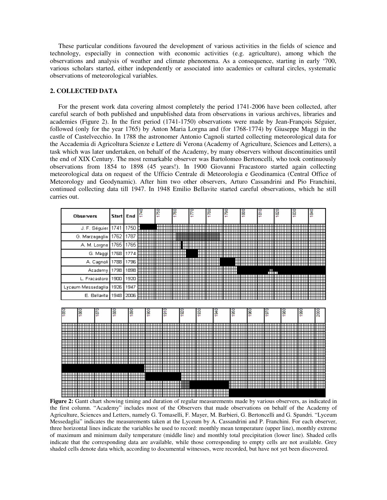These particular conditions favoured the development of various activities in the fields of science and technology, especially in connection with economic activities (e.g. agriculture), among which the observations and analysis of weather and climate phenomena. As a consequence, starting in early '700, various scholars started, either independently or associated into academies or cultural circles, systematic observations of meteorological variables.

# **2. COLLECTED DATA**

For the present work data covering almost completely the period 1741-2006 have been collected, after careful search of both published and unpublished data from observations in various archives, libraries and academies (Figure 2). In the first period (1741-1750) observations were made by Jean-François Séguier, followed (only for the year 1765) by Anton Maria Lorgna and (for 1768-1774) by Giuseppe Maggi in the castle of Castelvecchio. In 1788 the astronomer Antonio Cagnoli started collecting meteorological data for the Accademia di Agricoltura Scienze e Lettere di Verona (Academy of Agriculture, Sciences and Letters), a task which was later undertaken, on behalf of the Academy, by many observers without discontinuities until the end of XIX Century. The most remarkable observer was Bartolomeo Bertoncelli, who took continuously observations from 1854 to 1898 (45 years!). In 1900 Giovanni Fracastoro started again collecting meteorological data on request of the Ufficio Centrale di Meteorologia e Geodinamica (Central Office of Meteorology and Geodynamic). After him two other observers, Arturo Cassandrini and Pio Franchini, continued collecting data till 1947. In 1948 Emilio Bellavite started careful observations, which he still carries out.



**Figure 2:** Gantt chart showing timing and duration of regular measurements made by various observers, as indicated in the first column. "Academy" includes most of the Observers that made observations on behalf of the Academy of Agriculture, Sciences and Letters, namely G. Tomaselli, F. Mayer, M. Barbieri, G. Bertoncelli and G. Spandri. "Lyceum Messedaglia" indicates the measurements taken at the Lyceum by A. Cassandrini and P. Franchini. For each observer, three horizontal lines indicate the variables he used to record: monthly mean temperature (upper line), monthly extreme of maximum and minimum daily temperature (middle line) and monthly total precipitation (lower line). Shaded cells indicate that the corresponding data are available, while those corresponding to empty cells are not available. Grey shaded cells denote data which, according to documental witnesses, were recorded, but have not yet been discovered.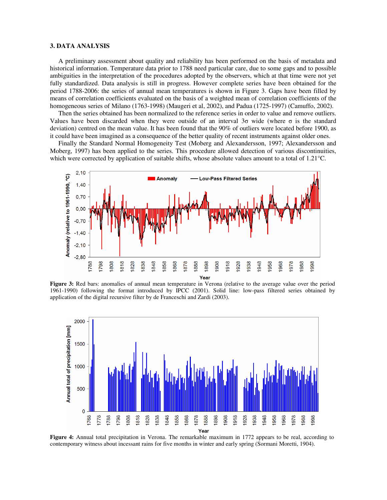#### **3. DATA ANALYSIS**

A preliminary assessment about quality and reliability has been performed on the basis of metadata and historical information. Temperature data prior to 1788 need particular care, due to some gaps and to possible ambiguities in the interpretation of the procedures adopted by the observers, which at that time were not yet fully standardized. Data analysis is still in progress. However complete series have been obtained for the period 1788-2006: the series of annual mean temperatures is shown in Figure 3. Gaps have been filled by means of correlation coefficients evaluated on the basis of a weighted mean of correlation coefficients of the homogeneous series of Milano (1763-1998) (Maugeri et al, 2002), and Padua (1725-1997) (Camuffo, 2002).

Then the series obtained has been normalized to the reference series in order to value and remove outliers. Values have been discarded when they were outside of an interval  $3\sigma$  wide (where  $\sigma$  is the standard deviation) centred on the mean value. It has been found that the 90% of outliers were located before 1900, as it could have been imagined as a consequence of the better quality of recent instruments against older ones.

Finally the Standard Normal Homogeneity Test (Moberg and Alexandersson, 1997; Alexandersson and Moberg, 1997) has been applied to the series. This procedure allowed detection of various discontinuities, which were corrected by application of suitable shifts, whose absolute values amount to a total of 1.21°C.



**Figure 3:** Red bars: anomalies of annual mean temperature in Verona (relative to the average value over the period 1961-1990) following the format introduced by IPCC (2001). Solid line: low-pass filtered series obtained by application of the digital recursive filter by de Franceschi and Zardi (2003).



**Figure 4:** Annual total precipitation in Verona. The remarkable maximum in 1772 appears to be real, according to contemporary witness about incessant rains for five months in winter and early spring (Sormani Moretti, 1904).